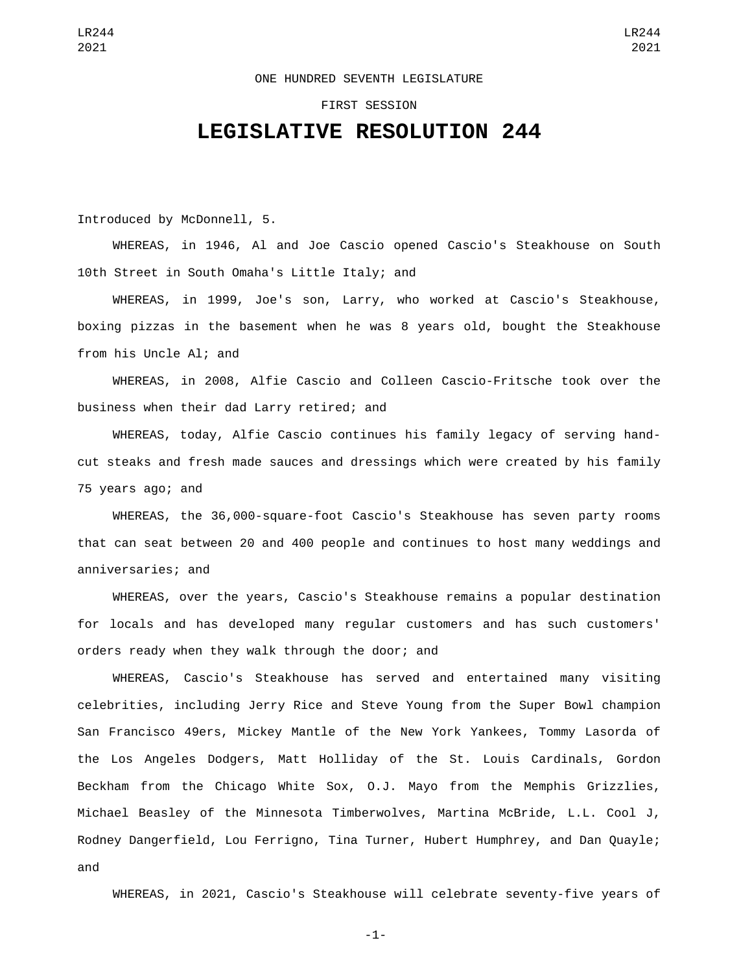## ONE HUNDRED SEVENTH LEGISLATURE

## FIRST SESSION

## **LEGISLATIVE RESOLUTION 244**

Introduced by McDonnell, 5.

WHEREAS, in 1946, Al and Joe Cascio opened Cascio's Steakhouse on South 10th Street in South Omaha's Little Italy; and

WHEREAS, in 1999, Joe's son, Larry, who worked at Cascio's Steakhouse, boxing pizzas in the basement when he was 8 years old, bought the Steakhouse from his Uncle Al; and

WHEREAS, in 2008, Alfie Cascio and Colleen Cascio-Fritsche took over the business when their dad Larry retired; and

WHEREAS, today, Alfie Cascio continues his family legacy of serving handcut steaks and fresh made sauces and dressings which were created by his family 75 years ago; and

WHEREAS, the 36,000-square-foot Cascio's Steakhouse has seven party rooms that can seat between 20 and 400 people and continues to host many weddings and anniversaries; and

WHEREAS, over the years, Cascio's Steakhouse remains a popular destination for locals and has developed many regular customers and has such customers' orders ready when they walk through the door; and

WHEREAS, Cascio's Steakhouse has served and entertained many visiting celebrities, including Jerry Rice and Steve Young from the Super Bowl champion San Francisco 49ers, Mickey Mantle of the New York Yankees, Tommy Lasorda of the Los Angeles Dodgers, Matt Holliday of the St. Louis Cardinals, Gordon Beckham from the Chicago White Sox, O.J. Mayo from the Memphis Grizzlies, Michael Beasley of the Minnesota Timberwolves, Martina McBride, L.L. Cool J, Rodney Dangerfield, Lou Ferrigno, Tina Turner, Hubert Humphrey, and Dan Quayle; and

WHEREAS, in 2021, Cascio's Steakhouse will celebrate seventy-five years of

-1-